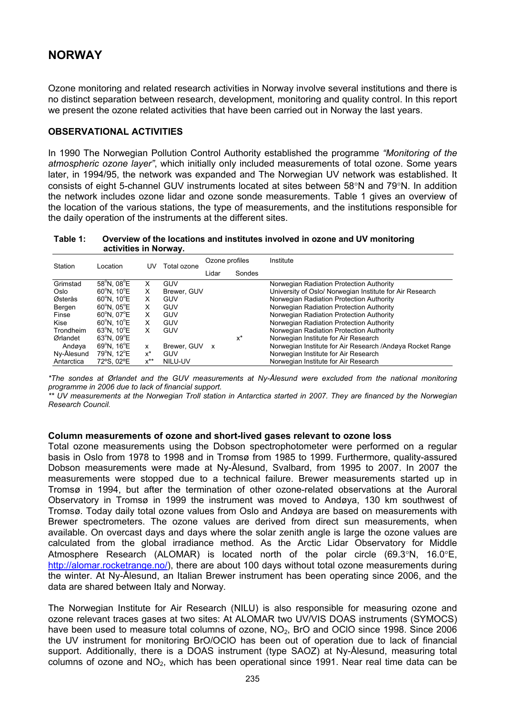# **NORWAY**

Ozone monitoring and related research activities in Norway involve several institutions and there is no distinct separation between research, development, monitoring and quality control. In this report we present the ozone related activities that have been carried out in Norway the last years.

## **OBSERVATIONAL ACTIVITIES**

In 1990 The Norwegian Pollution Control Authority established the programme *"Monitoring of the atmospheric ozone layer"*, which initially only included measurements of total ozone. Some years later, in 1994/95, the network was expanded and The Norwegian UV network was established. It consists of eight 5-channel GUV instruments located at sites between 58°N and 79°N. In addition the network includes ozone lidar and ozone sonde measurements. Table 1 gives an overview of the location of the various stations, the type of measurements, and the institutions responsible for the daily operation of the instruments at the different sites.

**Table 1: Overview of the locations and institutes involved in ozone and UV monitoring activities in Norway.**

| Station    | Location                        | UV       | Total ozone | Ozone profiles            |        | Institute                                                  |
|------------|---------------------------------|----------|-------------|---------------------------|--------|------------------------------------------------------------|
|            |                                 |          |             | Lidar                     | Sondes |                                                            |
| Grimstad   | $58^{\circ}$ N. 08 $^{\circ}$ E | x        | GUV         |                           |        | Norwegian Radiation Protection Authority                   |
| Oslo       | $60^{\circ}$ N. 10 $^{\circ}$ E | x        | Brewer, GUV |                           |        | University of Oslo/ Norwegian Institute for Air Research   |
| Østerås    | $60^{\circ}$ N. 10 $^{\circ}$ E | X        | GUV         |                           |        | Norwegian Radiation Protection Authority                   |
| Bergen     | $60^{\circ}$ N. $05^{\circ}$ E  | X        | GUV         |                           |        | Norwegian Radiation Protection Authority                   |
| Finse      | $60^{\circ}$ N. 07 $^{\circ}$ E | X        | GUV         |                           |        | Norwegian Radiation Protection Authority                   |
| Kise       | $60^{\circ}$ N. 10 $^{\circ}$ E | X        | GUV         |                           |        | Norwegian Radiation Protection Authority                   |
| Trondheim  | $63^{\circ}$ N. 10 $^{\circ}$ E | X        | GUV         |                           |        | Norwegian Radiation Protection Authority                   |
| Ørlandet   | $63^{\circ}$ N. 09 $^{\circ}$ E |          |             |                           | x*     | Norwegian Institute for Air Research                       |
| Andøva     | $69^{\circ}$ N. 16 $^{\circ}$ E | x        | Brewer, GUV | $\boldsymbol{\mathsf{x}}$ |        | Norwegian Institute for Air Research / Andøya Rocket Range |
| Ny-Ålesund | 79°N. 12°E                      | $x^*$    | GUV         |                           |        | Norwegian Institute for Air Research                       |
| Antarctica | 72°S. 02°E                      | $x^{**}$ | NILU-UV     |                           |        | Norwegian Institute for Air Research                       |

*\*The sondes at Ørlandet and the GUV measurements at Ny-Ålesund were excluded from the national monitoring programme in 2006 due to lack of financial support.* 

*\*\* UV measurements at the Norwegian Troll station in Antarctica started in 2007. They are financed by the Norwegian Research Council.* 

#### **Column measurements of ozone and short-lived gases relevant to ozone loss**

Total ozone measurements using the Dobson spectrophotometer were performed on a regular basis in Oslo from 1978 to 1998 and in Tromsø from 1985 to 1999. Furthermore, quality-assured Dobson measurements were made at Ny-Ålesund, Svalbard, from 1995 to 2007. In 2007 the measurements were stopped due to a technical failure. Brewer measurements started up in Tromsø in 1994, but after the termination of other ozone-related observations at the Auroral Observatory in Tromsø in 1999 the instrument was moved to Andøya, 130 km southwest of Tromsø. Today daily total ozone values from Oslo and Andøya are based on measurements with Brewer spectrometers. The ozone values are derived from direct sun measurements, when available. On overcast days and days where the solar zenith angle is large the ozone values are calculated from the global irradiance method. As the Arctic Lidar Observatory for Middle Atmosphere Research (ALOMAR) is located north of the polar circle (69.3°N, 16.0°E, <http://alomar.rocketrange.no/>), there are about 100 days without total ozone measurements during the winter. At Ny-Ålesund, an Italian Brewer instrument has been operating since 2006, and the data are shared between Italy and Norway*.*

The Norwegian Institute for Air Research (NILU) is also responsible for measuring ozone and ozone relevant traces gases at two sites: At ALOMAR two UV/VIS DOAS instruments (SYMOCS) have been used to measure total columns of ozone,  $NO<sub>2</sub>$ , BrO and OCIO since 1998. Since 2006 the UV instrument for monitoring BrO/OClO has been out of operation due to lack of financial support. Additionally, there is a DOAS instrument (type SAOZ) at Ny-Ålesund, measuring total columns of ozone and  $NO<sub>2</sub>$ , which has been operational since 1991. Near real time data can be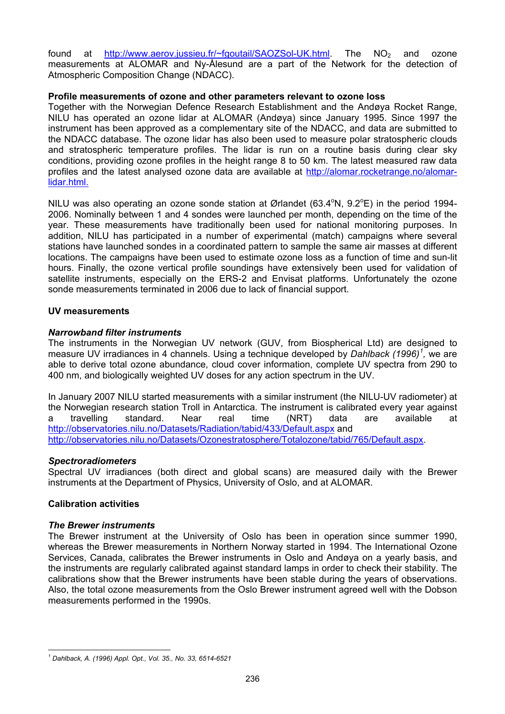found at <http://www.aerov.jussieu.fr/~fgoutail/SAOZSol-UK.html>. The NO<sub>2</sub> and ozone measurements at ALOMAR and Ny-Ålesund are a part of the Network for the detection of Atmospheric Composition Change (NDACC).

## **Profile measurements of ozone and other parameters relevant to ozone loss**

Together with the Norwegian Defence Research Establishment and the Andøya Rocket Range, NILU has operated an ozone lidar at ALOMAR (Andøya) since January 1995. Since 1997 the instrument has been approved as a complementary site of the NDACC, and data are submitted to the NDACC database. The ozone lidar has also been used to measure polar stratospheric clouds and stratospheric temperature profiles. The lidar is run on a routine basis during clear sky conditions, providing ozone profiles in the height range 8 to 50 km. The latest measured raw data profiles and the latest analysed ozone data are available at [http://alomar.rocketrange.no/alomar](http://alomar.rocketrange.no/alomar-lidar.html)[lidar.html](http://alomar.rocketrange.no/alomar-lidar.html).

NILU was also operating an ozone sonde station at Ørlandet (63.4°N, 9.2°E) in the period 1994-2006. Nominally between 1 and 4 sondes were launched per month, depending on the time of the year. These measurements have traditionally been used for national monitoring purposes. In addition, NILU has participated in a number of experimental (match) campaigns where several stations have launched sondes in a coordinated pattern to sample the same air masses at different locations. The campaigns have been used to estimate ozone loss as a function of time and sun-lit hours. Finally, the ozone vertical profile soundings have extensively been used for validation of satellite instruments, especially on the ERS-2 and Envisat platforms. Unfortunately the ozone sonde measurements terminated in 2006 due to lack of financial support.

## **UV measurements**

## *Narrowband filter instruments*

The instruments in the Norwegian UV network (GUV, from Biospherical Ltd) are designed to measure UV irradiances in 4 channels. Using a technique developed by *Dahlback ([1](#page-1-0)996)<sup>1</sup>*, we are able to derive total ozone abundance, cloud cover information, complete UV spectra from 290 to 400 nm, and biologically weighted UV doses for any action spectrum in the UV.

In January 2007 NILU started measurements with a similar instrument (the NILU-UV radiometer) at the Norwegian research station Troll in Antarctica. The instrument is calibrated every year against a travelling standard. Near real time (NRT) data are available at <http://observatories.nilu.no/Datasets/Radiation/tabid/433/Default.aspx> and [http://observatories.nilu.no/Datasets/Ozonestratosphere/Totalozone/tabid/765/Default.aspx.](http://observatories.nilu.no/Datasets/Ozonestratosphere/Totalozone/tabid/765/Default.aspx)

#### *Spectroradiometers*

Spectral UV irradiances (both direct and global scans) are measured daily with the Brewer instruments at the Department of Physics, University of Oslo, and at ALOMAR.

## **Calibration activities**

#### *The Brewer instruments*

The Brewer instrument at the University of Oslo has been in operation since summer 1990, whereas the Brewer measurements in Northern Norway started in 1994. The International Ozone Services, Canada, calibrates the Brewer instruments in Oslo and Andøya on a yearly basis, and the instruments are regularly calibrated against standard lamps in order to check their stability. The calibrations show that the Brewer instruments have been stable during the years of observations. Also, the total ozone measurements from the Oslo Brewer instrument agreed well with the Dobson measurements performed in the 1990s.

<span id="page-1-0"></span> $\overline{a}$ *1 Dahlback, A. (1996) Appl. Opt., Vol. 35., No. 33, 6514-6521*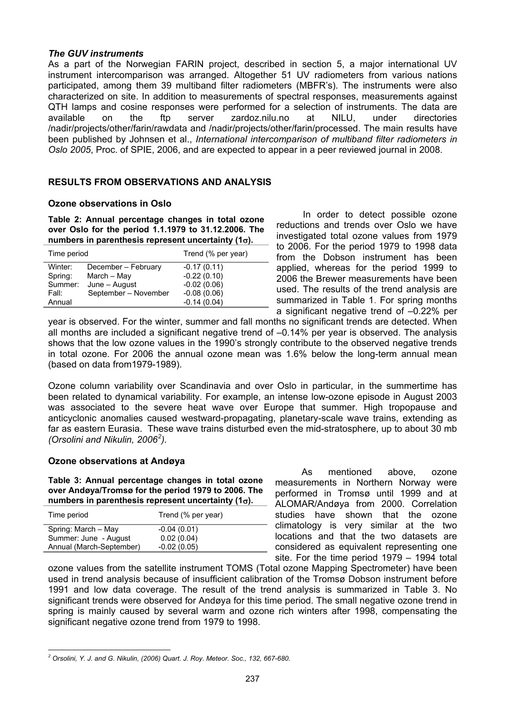## *The GUV instruments*

As a part of the Norwegian FARIN project, described in section 5, a major international UV instrument intercomparison was arranged. Altogether 51 UV radiometers from various nations participated, among them 39 multiband filter radiometers (MBFR's). The instruments were also characterized on site. In addition to measurements of spectral responses, measurements against QTH lamps and cosine responses were performed for a selection of instruments. The data are available on the ftp server zardoz.nilu.no at NILU, under directories /nadir/projects/other/farin/rawdata and /nadir/projects/other/farin/processed. The main results have been published by Johnsen et al., *International intercomparison of multiband filter radiometers in Oslo 2005*, Proc. of SPIE, 2006, and are expected to appear in a peer reviewed journal in 2008.

## **RESULTS FROM OBSERVATIONS AND ANALYSIS**

## **Ozone observations in Oslo**

**Table 2: Annual percentage changes in total ozone over Oslo for the period 1.1.1979 to 31.12.2006. The numbers in parenthesis represent uncertainty (1**σ**).** 

| Time period |                      | Trend (% per year) |  |  |
|-------------|----------------------|--------------------|--|--|
| Winter:     | December - February  | $-0.17(0.11)$      |  |  |
| Spring:     | March - May          | $-0.22(0.10)$      |  |  |
| Summer:     | June – August        | $-0.02(0.06)$      |  |  |
| Fall:       | September - November | $-0.08(0.06)$      |  |  |
| Annual      |                      | $-0.14(0.04)$      |  |  |

 In order to detect possible ozone reductions and trends over Oslo we have investigated total ozone values from 1979 to 2006. For the period 1979 to 1998 data from the Dobson instrument has been applied, whereas for the period 1999 to 2006 the Brewer measurements have been used. The results of the trend analysis are summarized in Table 1. For spring months a significant negative trend of –0.22% per

year is observed. For the winter, summer and fall months no significant trends are detected. When all months are included a significant negative trend of –0.14% per year is observed. The analysis shows that the low ozone values in the 1990's strongly contribute to the observed negative trends in total ozone. For 2006 the annual ozone mean was 1.6% below the long-term annual mean (based on data from1979-1989).

Ozone column variability over Scandinavia and over Oslo in particular, in the summertime has been related to dynamical variability. For example, an intense low-ozone episode in August 2003 was associated to the severe heat wave over Europe that summer. High tropopause and anticyclonic anomalies caused westward-propagating, planetary-scale wave trains, extending as far as eastern Eurasia. These wave trains disturbed even the mid-stratosphere, up to about 30 mb *(Orsolini and Nikulin, 2006[2](#page-2-0) ).*

#### **Ozone observations at Andøya**

<span id="page-2-1"></span>**Table 3: Annual percentage changes in total ozone over Andøya/Tromsø for the period 1979 to 2006. The numbers in parenthesis represent uncertainty (1**σ**).** 

| Trend (% per year) |
|--------------------|
| $-0.04(0.01)$      |
| 0.02(0.04)         |
| $-0.02(0.05)$      |
|                    |

 As mentioned above, ozone measurements in Northern Norway were performed in Tromsø until 1999 and at ALOMAR/Andøya from 2000. Correlation studies have shown that the ozone climatology is very similar at the two locations and that the two datasets are considered as equivalent representing one site. For the time period 1979 – 1994 total

ozone values from the satellite instrument TOMS (Total ozone Mapping Spectrometer) have been used in trend analysis because of insufficient calibration of the Tromsø Dobson instrument before 1991 and low data coverage. The result of the trend analysis is summarized in [Table 3.](#page-2-1) No significant trends were observed for Andøya for this time period. The small negative ozone trend in spring is mainly caused by several warm and ozone rich winters after 1998, compensating the significant negative ozone trend from 1979 to 1998.

<span id="page-2-0"></span> $\overline{a}$ *2 Orsolini, Y. J. and G. Nikulin, (2006) Quart. J. Roy. Meteor. Soc., 132, 667-680.*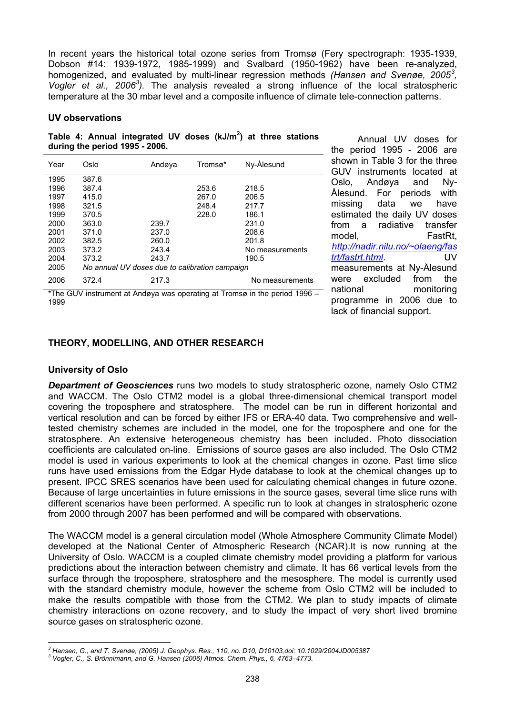In recent years the historical total ozone series from Tromsø (Fery spectrograph: 1935-1939, Dobson #14: 1939-1972, 1985-1999) and Svalbard (1950-1962) have been re-analyzed, homogenized, and evaluated by multi-linear regression methods *(Hansen and Svenøe, 2005[3](#page-3-0) , Vogler et al., 2006<sup>3</sup> ).* The analysis revealed a strong influence of the local stratospheric temperature at the 30 mbar level and a composite influence of climate tele-connection patterns.

#### **UV observations**

Table 4: Annual integrated UV doses (kJ/m<sup>2</sup>) at three stations **during the period 1995 - 2006.** 

| Year | Oslo                                           | Andøya | Tromsø*       | Ny-Ålesund      |  |  |  |
|------|------------------------------------------------|--------|---------------|-----------------|--|--|--|
| 1995 | 387.6                                          |        |               |                 |  |  |  |
| 1996 | 387.4                                          |        | 253.6         | 218.5           |  |  |  |
| 1997 | 415.0                                          |        | 267.0         | 206.5           |  |  |  |
| 1998 | 321.5                                          |        | 248.4         | 217.7           |  |  |  |
| 1999 | 370.5                                          |        | 228.0         | 186.1           |  |  |  |
| 2000 | 363.0                                          | 239.7  |               | 231.0           |  |  |  |
| 2001 | 371.0                                          | 237.0  |               | 208.6           |  |  |  |
| 2002 | 382.5                                          | 260.0  |               | 201.8           |  |  |  |
| 2003 | 373.2                                          | 243.4  |               | No measurements |  |  |  |
| 2004 | 373.2                                          | 243.7  |               | 190.5           |  |  |  |
| 2005 | No annual UV doses due to calibration campaign |        |               |                 |  |  |  |
| 2006 | 372.4                                          | 217.3  |               | No measurements |  |  |  |
|      | _ _ _ _ _ _                                    |        | $\sim$ $\sim$ |                 |  |  |  |

\*The GUV instrument at Andøya was operating at Tromsø in the period 1996 – 1999

 Annual UV doses for the period 1995 - 2006 are shown in Table 3 for the three GUV instruments located at Oslo, Andøya and Ny-Ålesund. For periods with missing data we have estimated the daily UV doses from a radiative transfer model, FastRt, *[http://nadir.nilu.no/~olaeng/fas](http://nadir.nilu.no/~olaeng/fastrt/fastrt.html) [trt/fastrt.html](http://nadir.nilu.no/~olaeng/fastrt/fastrt.html)*. UV measurements at Ny-Ålesund were excluded from the national monitoring programme in 2006 due to lack of financial support.

## **THEORY, MODELLING, AND OTHER RESEARCH**

## **University of Oslo**

*Department of Geosciences* runs two models to study stratospheric ozone, namely Oslo CTM2 and WACCM. The Oslo CTM2 model is a global three-dimensional chemical transport model covering the troposphere and stratosphere. The model can be run in different horizontal and vertical resolution and can be forced by either IFS or ERA-40 data. Two comprehensive and welltested chemistry schemes are included in the model, one for the troposphere and one for the stratosphere. An extensive heterogeneous chemistry has been included. Photo dissociation coefficients are calculated on-line. Emissions of source gases are also included. The Oslo CTM2 model is used in various experiments to look at the chemical changes in ozone. Past time slice runs have used emissions from the Edgar Hyde database to look at the chemical changes up to present. IPCC SRES scenarios have been used for calculating chemical changes in future ozone. Because of large uncertainties in future emissions in the source gases, several time slice runs with different scenarios have been performed. A specific run to look at changes in stratospheric ozone from 2000 through 2007 has been performed and will be compared with observations.

The WACCM model is a general circulation model (Whole Atmosphere Community Climate Model) developed at the National Center of Atmospheric Research (NCAR).It is now running at the University of Oslo. WACCM is a coupled climate chemistry model providing a platform for various predictions about the interaction between chemistry and climate. It has 66 vertical levels from the surface through the troposphere, stratosphere and the mesosphere. The model is currently used with the standard chemistry module, however the scheme from Oslo CTM2 will be included to make the results compatible with those from the CTM2. We plan to study impacts of climate chemistry interactions on ozone recovery, and to study the impact of very short lived bromine source gases on stratospheric ozone.

 $\overline{a}$ *3 Hansen, G., and T. Svenøe, (2005) J. Geophys. Res., 110, no. D10, D10103,doi: 10.1029/2004JD005387* 

<span id="page-3-0"></span>*<sup>3</sup> Vogler, C., S. Brönnimann, and G. Hansen (2006) Atmos. Chem. Phys., 6, 4763–4773.*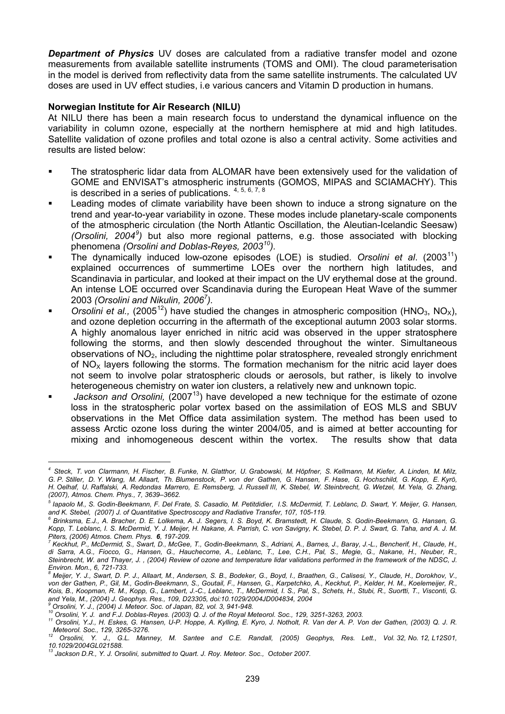*Department of Physics* UV doses are calculated from a radiative transfer model and ozone measurements from available satellite instruments (TOMS and OMI). The cloud parameterisation in the model is derived from reflectivity data from the same satellite instruments. The calculated UV doses are used in UV effect studies, i.e various cancers and Vitamin D production in humans.

## **Norwegian Institute for Air Research (NILU)**

At NILU there has been a main research focus to understand the dynamical influence on the variability in column ozone, especially at the northern hemisphere at mid and high latitudes. Satellite validation of ozone profiles and total ozone is also a central activity. Some activities and results are listed below:

- The stratospheric lidar data from ALOMAR have been extensively used for the validation of GOME and ENVISAT's atmospheric instruments (GOMOS, MIPAS and SCIAMACHY). This is described in a series of publications.  $4, 5, 6, 7, 8$  $4, 5, 6, 7, 8$  $4, 5, 6, 7, 8$  $4, 5, 6, 7, 8$  $4, 5, 6, 7, 8$
- Leading modes of climate variability have been shown to induce a strong signature on the trend and year-to-year variability in ozone. These modes include planetary-scale components of the atmospheric circulation (the North Atlantic Oscillation, the Aleutian-Icelandic Seesaw) *(Orsolini, 2004[9](#page-4-5) )* but also more regional patterns, e.g. those associated with blocking phenomena *(Orsolini and Doblas-Reyes, 2003[10](#page-4-6)).*
- The dynamically induced low-ozone episodes (LOE) is studied. *Orsolini et al.* (2003<sup>[11](#page-4-7)</sup>) explained occurrences of summertime LOEs over the northern high latitudes, and Scandinavia in particular, and looked at their impact on the UV erythemal dose at the ground. An intense LOE occurred over Scandinavia during the European Heat Wave of the summer 2003 *(Orsolini and Nikulin, 2006<sup>7</sup> ).*
- *Orsolini et al.,* (2005<sup>[12](#page-4-8)</sup>) have studied the changes in atmospheric composition (HNO<sub>3</sub>, NO<sub>x</sub>), and ozone depletion occurring in the aftermath of the exceptional autumn 2003 solar storms. A highly anomalous layer enriched in nitric acid was observed in the upper stratosphere following the storms, and then slowly descended throughout the winter. Simultaneous observations of  $NO<sub>2</sub>$ , including the nighttime polar stratosphere, revealed strongly enrichment of  $NO<sub>x</sub>$  layers following the storms. The formation mechanism for the nitric acid layer does not seem to involve polar stratospheric clouds or aerosols, but rather, is likely to involve heterogeneous chemistry on water ion clusters, a relatively new and unknown topic.
- Jackson and Orsolini, (2007<sup>13</sup>) have developed a new technique for the estimate of ozone loss in the stratospheric polar vortex based on the assimilation of EOS MLS and SBUV observations in the Met Office data assimilation system. The method has been used to assess Arctic ozone loss during the winter 2004/05, and is aimed at better accounting for mixing and inhomogeneous descent within the vortex. The results show that data

 $\overline{a}$ 

<span id="page-4-0"></span>*<sup>4</sup> Steck, T. von Clarmann, H. Fischer, B. Funke, N. Glatthor, U. Grabowski, M. Höpfner, S. Kellmann, M. Kiefer, A. Linden, M. Milz, G. P. Stiller, D. Y. Wang, M. Allaart, Th. Blumenstock, P. von der Gathen, G. Hansen, F. Hase, G. Hochschild, G. Kopp, E. Kyrö, H. Oelhaf, U. Raffalski, A. Redondas Marrero, E. Remsberg, J. Russell III, K. Stebel, W. Steinbrecht, G. Wetzel, M. Yela, G. Zhang, (2007), Atmos. Chem. Phys., 7, 3639–3662.* 

<span id="page-4-1"></span>*<sup>5</sup> Iapaolo M., S. Godin-Beekmann, F. Del Frate, S. Casadio, M. Petitdidier, I.S. McDermid, T. Leblanc, D. Swart, Y. Meijer, G. Hansen,*  and K. Stebel, (2007) J. of Quantitative Spectroscopy and Radiative Transfer, 107, 105-119.

<span id="page-4-2"></span>*Brinksma, E.J., A. Bracher, D. E. Lolkema, A. J. Segers, I. S. Boyd, K. Bramstedt, H. Claude, S. Godin-Beekmann, G. Hansen, G. Kopp, T. Leblanc, I. S. McDermid, Y. J. Meijer, H. Nakane, A. Parrish, C. von Savigny, K. Stebel, D. P. J. Swart, G. Taha, and A. J. M. Piters, (2006) Atmos. Chem. Phys. 6, 197-209.* 

<span id="page-4-3"></span>*Keckhut, P., McDermid, S., Swart, D., McGee, T., Godin-Beekmann, S., Adriani, A., Barnes, J., Baray, J.-L., Bencherif, H., Claude, H., di Sarra, A.G., Fiocco, G., Hansen, G., Hauchecorne, A., Leblanc, T., Lee, C.H., Pal, S., Megie, G., Nakane, H., Neuber, R., Steinbrecht, W. and Thayer, J. , (2004) Review of ozone and temperature lidar validations performed in the framework of the NDSC, J. Environ. Mon., 6, 721-733. 8*

<span id="page-4-4"></span>*Meijer, Y. J., Swart, D. P. J., Allaart, M., Andersen, S. B., Bodeker, G., Boyd, I., Braathen, G., Calisesi, Y., Claude, H., Dorokhov, V., von der Gathen, P., Gil, M., Godin-Beekmann, S., Goutail, F., Hansen, G., Karpetchko, A., Keckhut, P., Kelder, H. M., Koelemeijer, R., Kois, B., Koopman, R. M., Kopp, G., Lambert, J.-C., Leblanc, T., McDermid, I. S., Pal, S., Schets, H., Stubi, R., Suortti, T., Visconti, G. and Yela, M., (2004) J. Geophys. Res., 109, D23305, doi:10.1029/2004JD004834, 2004 9*

<span id="page-4-5"></span>*Orsolini, Y. J., (2004) J. Meteor. Soc. of Japan, 82, vol. 3, 941-948.* 

<span id="page-4-7"></span><span id="page-4-6"></span><sup>11</sup> Orsolini, Y.J., H. Eskes, G. Hansen, U-P. Hoppe, A. Kylling, E. Kyro, J. Notholt, R. Van der A. P. Von der Gathen, (2003) Q. J. R.<br>Meteorol. Soc., 129, 3265-3276.<br>12 Orsolini, Y.J., H. Eskes, G. Hansen, U-P. Hoppe, A. K

<span id="page-4-8"></span>*Meteorol. Soc., 129, 3265-3276. 12 Orsolini, Y. J., G.L. Manney, M. Santee and C.E. Randall, (2005) Geophys, Res. Lett., Vol. 32, No. 12, L12S01, 10.1029/2004GL021588.* 

<span id="page-4-9"></span>Jackson D.R., Y. J. Orsolini, submitted to Quart. J. Roy. Meteor. Soc., October 2007.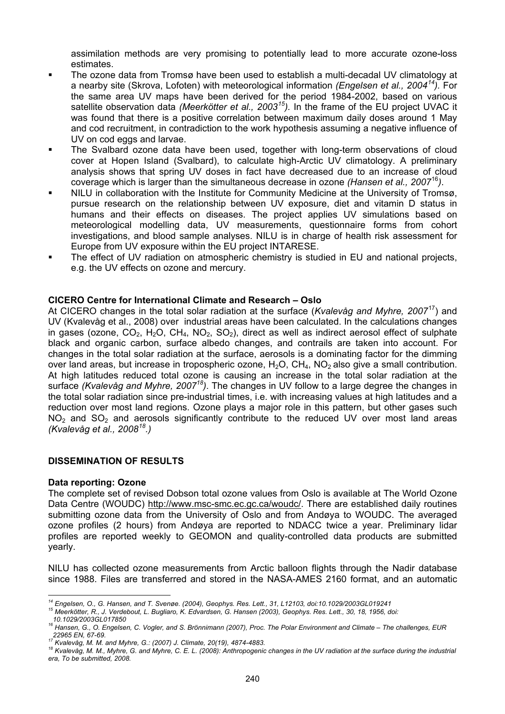assimilation methods are very promising to potentially lead to more accurate ozone-loss estimates.

- The ozone data from Tromsø have been used to establish a multi-decadal UV climatology at a nearby site (Skrova, Lofoten) with meteorological information *(Engelsen et al., 2004[14\)](#page-5-0).* For the same area UV maps have been derived for the period 1984-2002, based on various satellite observation data *(Meerkötter et al., 2003[15](#page-5-1)).* In the frame of the EU project UVAC it was found that there is a positive correlation between maximum daily doses around 1 May and cod recruitment, in contradiction to the work hypothesis assuming a negative influence of UV on cod eggs and larvae.
- The Svalbard ozone data have been used, together with long-term observations of cloud cover at Hopen Island (Svalbard), to calculate high-Arctic UV climatology. A preliminary analysis shows that spring UV doses in fact have decreased due to an increase of cloud coverage which is larger than the simultaneous decrease in ozone *(Hansen et al., 2007*[16](#page-5-2)*)*.
- NILU in collaboration with the Institute for Community Medicine at the University of Tromsø, pursue research on the relationship between UV exposure, diet and vitamin D status in humans and their effects on diseases. The project applies UV simulations based on meteorological modelling data, UV measurements, questionnaire forms from cohort investigations, and blood sample analyses. NILU is in charge of health risk assessment for Europe from UV exposure within the EU project INTARESE.
- The effect of UV radiation on atmospheric chemistry is studied in EU and national projects, e.g. the UV effects on ozone and mercury.

## **CICERO Centre for International Climate and Research – Oslo**

At CICERO changes in the total solar radiation at the surface (*Kvalevåg and Myhre, 2007*[17\)](#page-5-3) and UV (Kvalevåg et al., 2008) over industrial areas have been calculated. In the calculations changes in gases (ozone,  $CO_2$ ,  $H_2O$ ,  $CH_4$ ,  $NO_2$ ,  $SO_2$ ), direct as well as indirect aerosol effect of sulphate black and organic carbon, surface albedo changes, and contrails are taken into account. For changes in the total solar radiation at the surface, aerosols is a dominating factor for the dimming over land areas, but increase in tropospheric ozone,  $H_2O$ ,  $CH_4$ ,  $NO_2$  also give a small contribution. At high latitudes reduced total ozone is causing an increase in the total solar radiation at the surface *(Kvalevåg and Myhre, 200718)*. The changes in UV follow to a large degree the changes in the total solar radiation since pre-industrial times, i.e. with increasing values at high latitudes and a reduction over most land regions. Ozone plays a major role in this pattern, but other gases such  $NO<sub>2</sub>$  and  $SO<sub>2</sub>$  and aerosols significantly contribute to the reduced UV over most land areas *(Kvalevåg et al., 2008[18](#page-5-4).)*

## **DISSEMINATION OF RESULTS**

#### **Data reporting: Ozone**

The complete set of revised Dobson total ozone values from Oslo is available at The World Ozone Data Centre (WOUDC) [http://www.msc-smc.ec.gc.ca/woudc/.](http://www.msc-smc.ec.gc.ca/woudc/) There are established daily routines submitting ozone data from the University of Oslo and from Andøya to WOUDC. The averaged ozone profiles (2 hours) from Andøya are reported to NDACC twice a year. Preliminary lidar profiles are reported weekly to GEOMON and quality-controlled data products are submitted yearly.

NILU has collected ozone measurements from Arctic balloon flights through the Nadir database since 1988. Files are transferred and stored in the NASA-AMES 2160 format, and an automatic

<span id="page-5-1"></span>15 Meerkötter, R., J. Verdebout, L. Bugliaro, K. Edvardsen, G. Hansen (2003), Geophys. Res. Lett., 30, 18, 1956, doi:<br>10 1029/2003GL 017850

<span id="page-5-0"></span> $14$  Engelsen, O., G. Hansen, and T. Svenøe. (2004), Geophys. Res. Lett., 31, L12103, doi:10.1029/2003GL019241

<span id="page-5-2"></span>*<sup>10.1029/2003</sup>GL017850 16 Hansen, G., O. Engelsen, C. Vogler, and S. Brönnimann (2007), Proc. The Polar Environment and Climate – The challenges, EUR* 

<span id="page-5-4"></span><span id="page-5-3"></span><sup>&</sup>lt;sup>17</sup> Kvalevåg, M. M. and Myhre, G.: (2007) J. Climate, 20(19), 4874-4883.<br><sup>18</sup> Kvalevåg, M. M., Myhre, G. and Myhre, C. E. L. (2008): Anthropogenic changes in the UV radiation at the surface during the industrial *era, To be submitted, 2008.*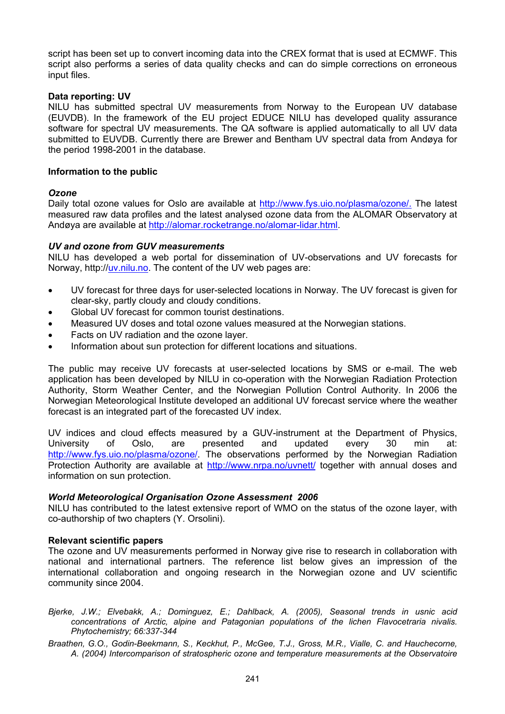script has been set up to convert incoming data into the CREX format that is used at ECMWF. This script also performs a series of data quality checks and can do simple corrections on erroneous input files.

#### **Data reporting: UV**

NILU has submitted spectral UV measurements from Norway to the European UV database (EUVDB). In the framework of the EU project EDUCE NILU has developed quality assurance software for spectral UV measurements. The QA software is applied automatically to all UV data submitted to EUVDB. Currently there are Brewer and Bentham UV spectral data from Andøya for the period 1998-2001 in the database.

#### **Information to the public**

## *Ozone*

Daily total ozone values for Oslo are available at [http://www.fys.uio.no/plasma/ozone/.](http://www.fys.uio.no/plasma/ozone/) The latest measured raw data profiles and the latest analysed ozone data from the ALOMAR Observatory at Andøya are available at [http://alomar.rocketrange.no/alomar-lidar.html.](http://alomar.rocketrange.no/alomar-lidar.html)

## *UV and ozone from GUV measurements*

NILU has developed a web portal for dissemination of UV-observations and UV forecasts for Norway, http://[uv.nilu.no.](http://www.luftkvalitet.info/uv) The content of the UV web pages are:

- UV forecast for three days for user-selected locations in Norway. The UV forecast is given for clear-sky, partly cloudy and cloudy conditions.
- Global UV forecast for common tourist destinations.
- Measured UV doses and total ozone values measured at the Norwegian stations.
- Facts on UV radiation and the ozone layer.
- Information about sun protection for different locations and situations.

The public may receive UV forecasts at user-selected locations by SMS or e-mail. The web application has been developed by NILU in co-operation with the Norwegian Radiation Protection Authority, Storm Weather Center, and the Norwegian Pollution Control Authority. In 2006 the Norwegian Meteorological Institute developed an additional UV forecast service where the weather forecast is an integrated part of the forecasted UV index.

UV indices and cloud effects measured by a GUV-instrument at the Department of Physics, University of Oslo, are presented and updated every 30 min at: [http://www.fys.uio.no/plasma/ozone/.](http://www.fys.uio.no/plasma/ozone/) The observations performed by the Norwegian Radiation Protection Authority are available at <http://www.nrpa.no/uvnett/>together with annual doses and information on sun protection.

#### *World Meteorological Organisation Ozone Assessment 2006*

NILU has contributed to the latest extensive report of WMO on the status of the ozone layer, with co-authorship of two chapters (Y. Orsolini).

#### **Relevant scientific papers**

The ozone and UV measurements performed in Norway give rise to research in collaboration with national and international partners. The reference list below gives an impression of the international collaboration and ongoing research in the Norwegian ozone and UV scientific community since 2004.

- *Bjerke, J.W.; Elvebakk, A.; Dominguez, E.; Dahlback, A. (2005), Seasonal trends in usnic acid concentrations of Arctic, alpine and Patagonian populations of the lichen Flavocetraria nivalis. Phytochemistry; 66:337-344*
- *Braathen, G.O., Godin-Beekmann, S., Keckhut, P., McGee, T.J., Gross, M.R., Vialle, C. and Hauchecorne, A. (2004) Intercomparison of stratospheric ozone and temperature measurements at the Observatoire*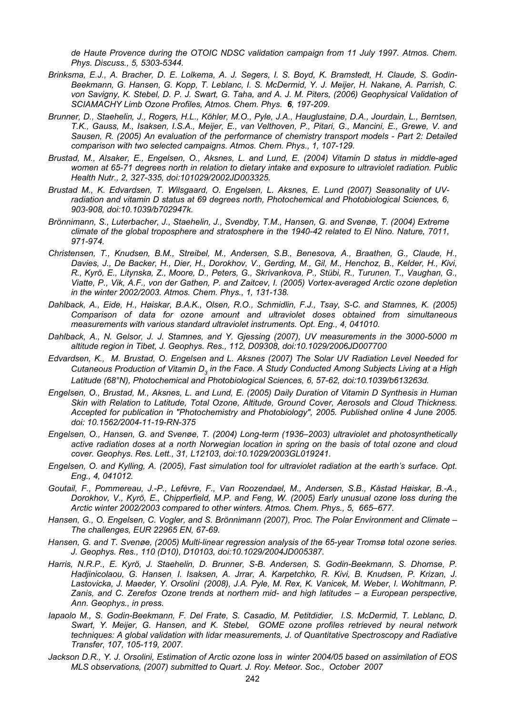*de Haute Provence during the OTOIC NDSC validation campaign from 11 July 1997. Atmos. Chem. Phys. Discuss., 5, 5303-5344.* 

- *Brinksma, E.J., A. Bracher, D. E. Lolkema, A. J. Segers, I. S. Boyd, K. Bramstedt, H. Claude, S. Godin-Beekmann, G. Hansen, G. Kopp, T. Leblanc, I. S. McDermid, Y. J. Meijer, H. Nakane, A. Parrish, C. von Savigny, K. Stebel, D. P. J. Swart, G. Taha, and A. J. M. Piters, (2006) Geophysical Validation of SCIAMACHY Limb Ozone Profiles, Atmos. Chem. Phys. 6, 197-209.*
- *Brunner, D., Staehelin, J., Rogers, H.L., Köhler, M.O., Pyle, J.A., Hauglustaine, D.A., Jourdain, L., Berntsen, T.K., Gauss, M., Isaksen, I.S.A., Meijer, E., van Velthoven, P., Pitari, G., Mancini, E., Grewe, V. and Sausen, R. (2005) An evaluation of the performance of chemistry transport models - Part 2: Detailed comparison with two selected campaigns. Atmos. Chem. Phys., 1, 107-129.*
- *Brustad, M., Alsaker, E., Engelsen, O., Aksnes, L. and Lund, E. (2004) Vitamin D status in middle-aged women at 65-71 degrees north in relation to dietary intake and exposure to ultraviolet radiation. Public Health Nutr., 2, 327-335, doi:101029/2002JD003325.*
- *Brustad M., K. Edvardsen, T. Wilsgaard, O. Engelsen, L. Aksnes, E. Lund (2007) Seasonality of UVradiation and vitamin D status at 69 degrees north, Photochemical and Photobiological Sciences, 6, 903-908, doi:10.1039/b702947k.*
- *Brönnimann, S., Luterbacher, J., Staehelin, J., Svendby, T.M., Hansen, G. and Svenøe, T. (2004) Extreme climate of the global troposphere and stratosphere in the 1940-42 related to El Nino. Nature, 7011, 971-974.*
- *Christensen, T., Knudsen, B.M., Streibel, M., Andersen, S.B., Benesova, A., Braathen, G., Claude, H., Davies, J., De Backer, H., Dier, H., Dorokhov, V., Gerding, M., Gil, M., Henchoz, B., Kelder, H., Kivi, R., Kyrö, E., Litynska, Z., Moore, D., Peters, G., Skrivankova, P., Stübi, R., Turunen, T., Vaughan, G., Viatte, P., Vik, A.F., von der Gathen, P. and Zaitcev, I. (2005) Vortex-averaged Arctic ozone depletion in the winter 2002/2003. Atmos. Chem. Phys., 1, 131-138.*
- *Dahlback, A., Eide, H., Høiskar, B.A.K., Olsen, R.O., Schmidlin, F.J., Tsay, S-C. and Stamnes, K. (2005) Comparison of data for ozone amount and ultraviolet doses obtained from simultaneous measurements with various standard ultraviolet instruments. Opt. Eng., 4, 041010.*
- *Dahlback, A., N. Gelsor, J. J. Stamnes, and Y. Gjessing (2007), UV measurements in the 3000-5000 m altitude region in Tibet, J. Geophys. Res., 112, D09308, doi:10.1029/2006JD007700*
- *Edvardsen, K., M. Brustad, O. Engelsen and L. Aksnes (2007) The Solar UV Radiation Level Needed for*  Cutaneous Production of Vitamin D<sub>3</sub> in the Face. A Study Conducted Among Subjects Living at a High *Latitude (68°N), Photochemical and Photobiological Sciences, 6, 57-62, doi:10.1039/b613263d.*
- *Engelsen, O., Brustad, M., Aksnes, L. and Lund, E. (2005) Daily Duration of Vitamin D Synthesis in Human Skin with Relation to Latitude, Total Ozone, Altitude, Ground Cover, Aerosols and Cloud Thickness. Accepted for publication in "Photochemistry and Photobiology", 2005. Published online 4 June 2005. [doi: 10.1562/2004-11-19-RN-375](http://phot.allenpress.com/pdfserv/10.1562%2F2004-11-19-RN-375)*
- *Engelsen, O., Hansen, G. and Svenøe, T. (2004) Long-term (1936–2003) ultraviolet and photosynthetically active radiation doses at a north Norwegian location in spring on the basis of total ozone and cloud cover. Geophys. Res. Lett., 31, L12103, doi:10.1029/2003GL019241.*
- *Engelsen, O. and Kylling, A. (2005), Fast simulation tool for ultraviolet radiation at the earth's surface. Opt. Eng., 4, 041012.*
- *Goutail, F., Pommereau, J.-P., Lefèvre, F., Van Roozendael, M., Andersen, S.B., Kåstad Høiskar, B.-A., Dorokhov, V., Kyrö, E., Chipperfield, M.P. and Feng, W. (2005) Early unusual ozone loss during the Arctic winter 2002/2003 compared to other winters. Atmos. Chem. Phys., 5, 665–677.*
- *Hansen, G., O. Engelsen, C. Vogler, and S. Brönnimann (2007), Proc. The Polar Environment and Climate The challenges, EUR 22965 EN, 67-69.*
- *Hansen, G. and T. Svenøe, (2005) Multi-linear regression analysis of the 65-year Tromsø total ozone series. J. Geophys. Res., 110 (D10), D10103, doi:10.1029/2004JD005387.*
- *Harris, N.R.P., E. Kyrö, J. Staehelin, D. Brunner, S-B. Andersen, S. Godin-Beekmann, S. Dhomse, P. Hadjinicolaou, G. Hansen, I. Isaksen, A. Jrrar, A. Karpetchko, R. Kivi, B. Knudsen, P. Krizan, J. Lastovicka, J. Maeder, Y. Orsolini (2008), J.A. Pyle, M. Rex, K. Vanicek, M. Weber, I. Wohltmann, P.*  Zanis, and C. Zerefos<sup>*, Ozone trends at northern mid- and high latitudes – a European perspective,*</sup> *Ann. Geophys., in press.*
- *Iapaolo M., S. Godin-Beekmann, F. Del Frate, S. Casadio, M. Petitdidier, I.S. McDermid, T. Leblanc, D. Swart, Y. Meijer, G. Hansen, and K. Stebel, GOME ozone profiles retrieved by neural network techniques: A global validation with lidar measurements, J. of Quantitative Spectroscopy and Radiative Transfer, 107, 105-119, 2007.*
- *Jackson D.R., Y. J. Orsolini, Estimation of Arctic ozone loss in winter 2004/05 based on assimilation of EOS MLS observations, (2007) submitted to Quart. J. Roy. Meteor. Soc., October 2007*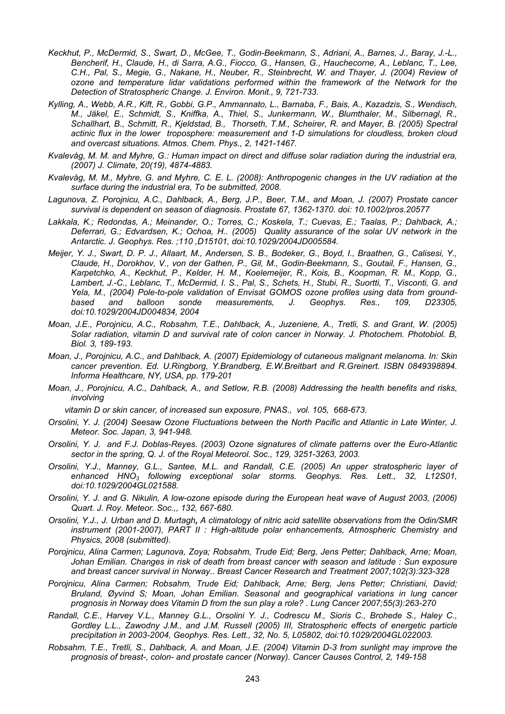- *Keckhut, P., McDermid, S., Swart, D., McGee, T., Godin-Beekmann, S., Adriani, A., Barnes, J., Baray, J.-L., Bencherif, H., Claude, H., di Sarra, A.G., Fiocco, G., Hansen, G., Hauchecorne, A., Leblanc, T., Lee, C.H., Pal, S., Megie, G., Nakane, H., Neuber, R., Steinbrecht, W. and Thayer, J. (2004) Review of ozone and temperature lidar validations performed within the framework of the Network for the Detection of Stratospheric Change. J. Environ. Monit., 9, 721-733.*
- *Kylling, A., Webb, A.R., Kift, R., Gobbi, G.P., Ammannato, L., Barnaba, F., Bais, A., Kazadzis, S., Wendisch, M., Jäkel, E., Schmidt, S., Kniffka, A., Thiel, S., Junkermann, W., Blumthaler, M., Silbernagl, R., Schallhart, B., Schmitt, R., Kjeldstad, B., Thorseth, T.M., Scheirer, R. and Mayer, B. (2005) Spectral actinic flux in the lower troposphere: measurement and 1-D simulations for cloudless, broken cloud and overcast situations. Atmos. Chem. Phys., 2, 1421-1467.*
- *Kvalevåg, M. M. and Myhre, G.: Human impact on direct and diffuse solar radiation during the industrial era, (2007) J. Climate, 20(19), 4874-4883.*
- *Kvalevåg, M. M., Myhre, G. and Myhre, C. E. L. (2008): Anthropogenic changes in the UV radiation at the surface during the industrial era, To be submitted, 2008.*
- *Lagunova, Z. Porojnicu, A.C., Dahlback, A., Berg, J.P., Beer, T.M., and Moan, J. (2007) Prostate cancer survival is dependent on season of diagnosis. Prostate 67, 1362-1370. doi: 10.1002/pros.20577*
- *Lakkala, K.; Redondas, A.; Meinander, O.; Torres, C.; Koskela, T.; Cuevas, E.; Taalas, P.; Dahlback, A.; Deferrari, G.; Edvardsen, K.; Ochoa, H.. (2005) Quality assurance of the solar UV network in the Antarctic. J. Geophys. Res. ;110 ,D15101, doi:10.1029/2004JD005584.*
- *Meijer, Y. J., Swart, D. P. J., Allaart, M., Andersen, S. B., Bodeker, G., Boyd, I., Braathen, G., Calisesi, Y., Claude, H., Dorokhov, V., von der Gathen, P., Gil, M., Godin-Beekmann, S., Goutail, F., Hansen, G., Karpetchko, A., Keckhut, P., Kelder, H. M., Koelemeijer, R., Kois, B., Koopman, R. M., Kopp, G., Lambert, J.-C., Leblanc, T., McDermid, I. S., Pal, S., Schets, H., Stubi, R., Suortti, T., Visconti, G. and Yela, M., (2004) Pole-to-pole validation of Envisat GOMOS ozone profiles using data from groundbased and balloon sonde measurements, J. Geophys. Res., 109, D23305, doi:10.1029/2004JD004834, 2004*
- *Moan, J.E., Porojnicu, A.C., Robsahm, T.E., Dahlback, A., Juzeniene, A., Tretli, S. and Grant, W. (2005) Solar radiation, vitamin D and survival rate of colon cancer in Norway. J. Photochem. Photobiol. B, Biol. 3, 189-193.*
- *Moan, J., Porojnicu, A.C., and Dahlback, A. (2007) Epidemiology of cutaneous malignant melanoma. In: Skin cancer prevention. Ed. U.Ringborg, Y.Brandberg, E.W.Breitbart and R.Greinert. ISBN 0849398894. Informa Healthcare, NY, USA, pp. 179-201*
- *Moan, J., Porojnicu, A.C., Dahlback, A., and Setlow, R.B. (2008) Addressing the health benefits and risks, involving*

 *vitamin D or skin cancer, of increased sun exposure, PNAS., vol. 105, 668-673.* 

- *Orsolini, Y. J. (2004) Seesaw Ozone Fluctuations between the North Pacific and Atlantic in Late Winter, J. Meteor. Soc. Japan, 3, 941-948.*
- *Orsolini, Y. J. and F.J. Doblas-Reyes. (2003) Ozone signatures of climate patterns over the Euro-Atlantic sector in the spring, Q. J. of the Royal Meteorol. Soc., 129, 3251-3263, 2003.*
- *Orsolini, Y.J., Manney, G.L., Santee, M.L. and Randall, C.E. (2005) An upper stratospheric layer of enhanced HNO3 following exceptional solar storms. Geophys. Res. Lett., 32, L12S01, doi:10.1029/2004GL021588.*
- *Orsolini, Y. J. and G. Nikulin, A low-ozone episode during the European heat wave of August 2003, (2006) Quart. J. Roy. Meteor. Soc.,, 132, 667-680.*
- *Orsolini, Y.J., J. Urban and D. Murtagh, A climatology of nitric acid satellite observations from the Odin/SMR instrument (2001-2007), PART II : High-altitude polar enhancements, Atmospheric Chemistry and Physics, 2008 (submitted).*
- *Porojnicu, Alina Carmen; Lagunova, Zoya; Robsahm, Trude Eid; Berg, Jens Petter; Dahlback, Arne; Moan, Johan Emilian. Changes in risk of death from breast cancer with season and latitude : Sun exposure and breast cancer survival in Norway.. Breast Cancer Research and Treatment 2007;102(3):323-328*
- *Porojnicu, Alina Carmen; Robsahm, Trude Eid; Dahlback, Arne; Berg, Jens Petter; Christiani, David; Bruland, Øyvind S; Moan, Johan Emilian. Seasonal and geographical variations in lung cancer prognosis in Norway does Vitamin D from the sun play a role? . Lung Cancer 2007;55(3):263-270*
- *Randall, C.E., Harvey V.L., Manney G.L., Orsolini Y. J., Codrescu M., Sioris C., Brohede S., Haley C., Gordley L.L., Zawodny J.M., and J.M. Russell (2005) III, Stratospheric effects of energetic particle precipitation in 2003-2004, Geophys. Res. Lett., 32, No. 5, L05802, doi:10.1029/2004GL022003.*
- *Robsahm, T.E., Tretli, S., Dahlback, A. and Moan, J.E. (2004) Vitamin D-3 from sunlight may improve the prognosis of breast-, colon- and prostate cancer (Norway). Cancer Causes Control, 2, 149-158*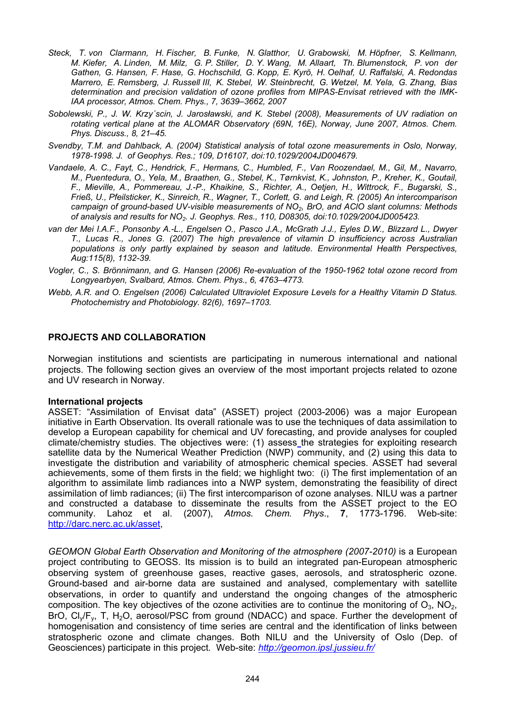- *Steck, T. von Clarmann, H. Fischer, B. Funke, N. Glatthor, U. Grabowski, M. Höpfner, S. Kellmann, M. Kiefer, A. Linden, M. Milz, G. P. Stiller, D. Y. Wang, M. Allaart, Th. Blumenstock, P. von der Gathen, G. Hansen, F. Hase, G. Hochschild, G. Kopp, E. Kyrö, H. Oelhaf, U. Raffalski, A. Redondas Marrero, E. Remsberg, J. Russell III, K. Stebel, W. Steinbrecht, G. Wetzel, M. Yela, G. Zhang, Bias determination and precision validation of ozone profiles from MIPAS-Envisat retrieved with the IMK-IAA processor, Atmos. Chem. Phys., 7, 3639–3662, 2007*
- *Sobolewski, P., J. W. Krzy´scin, J. Jarosławski, and K. Stebel (2008), Measurements of UV radiation on rotating vertical plane at the ALOMAR Observatory (69N, 16E), Norway, June 2007, Atmos. Chem. Phys. Discuss., 8, 21–45.*
- *Svendby, T.M. and Dahlback, A. (2004) Statistical analysis of total ozone measurements in Oslo, Norway, 1978-1998. J. of Geophys. Res.; 109, D16107, doi:10.1029/2004JD004679.*
- *Vandaele, A. C., Fayt, C., Hendrick, F., Hermans, C., Humbled, F., Van Roozendael, M., Gil, M., Navarro, M., Puentedura, O., Yela, M., Braathen, G., Stebel, K., Tørnkvist, K., Johnston, P., Kreher, K., Goutail, F., Mieville, A., Pommereau, J.-P., Khaikine, S., Richter, A., Oetjen, H., Wittrock, F., Bugarski, S., Frieß, U., Pfeilsticker, K., Sinreich, R., Wagner, T., Corlett, G. and Leigh, R. (2005) An intercomparison campaign of ground-based UV-visible measurements of NO2, BrO, and AClO slant columns: Methods of analysis and results for NO2. J. Geophys. Res., 110, D08305, doi:10.1029/2004JD005423.*
- *van der Mei I.A.F., Ponsonby A.-L., Engelsen O., Pasco J.A., McGrath J.J., Eyles D.W., Blizzard L., Dwyer T., Lucas R., Jones G. (2007) The high prevalence of vitamin D insufficiency across Australian populations is only partly explained by season and latitude. Environmental Health Perspectives, Aug:115(8), 1132-39.*
- *Vogler, C., S. Brönnimann, and G. Hansen (2006) Re-evaluation of the 1950-1962 total ozone record from Longyearbyen, Svalbard, Atmos. Chem. Phys., 6, 4763–4773.*
- *Webb, A.R. and O. Engelsen (2006) Calculated Ultraviolet Exposure Levels for a Healthy Vitamin D Status. Photochemistry and Photobiology. 82(6), 1697–1703.*

## **PROJECTS AND COLLABORATION**

Norwegian institutions and scientists are participating in numerous international and national projects. The following section gives an overview of the most important projects related to ozone and UV research in Norway.

#### **International projects**

ASSET: "Assimilation of Envisat data" (ASSET) project (2003-2006) was a major European initiative in Earth Observation. Its overall rationale was to use the techniques of data assimilation to develop a European capability for chemical and UV forecasting, and provide analyses for coupled climate/chemistry studies. The objectives were: (1) assess the strategies for exploiting research satellite data by the Numerical Weather Prediction (NWP) community, and (2) using this data to investigate the distribution and variability of atmospheric chemical species. ASSET had several achievements, some of them firsts in the field; we highlight two: (i) The first implementation of an algorithm to assimilate limb radiances into a NWP system, demonstrating the feasibility of direct assimilation of limb radiances; (ii) The first intercomparison of ozone analyses. NILU was a partner and constructed a database to disseminate the results from the ASSET project to the EO community. Lahoz et al. (2007), *Atmos. Chem. Phys*., **7**, 1773-1796. Web-site: [http://darc.nerc.ac.uk/asset,](http://darc.nerc.ac.uk/asset)

*GEOMON Global Earth Observation and Monitoring of the atmosphere (2007-2010)* is a European project contributing to GEOSS. Its mission is to build an integrated pan-European atmospheric observing system of greenhouse gases, reactive gases, aerosols, and stratospheric ozone. Ground-based and air-borne data are sustained and analysed, complementary with satellite observations, in order to quantify and understand the ongoing changes of the atmospheric composition. The key objectives of the ozone activities are to continue the monitoring of  $O_3$ , NO<sub>2</sub>, BrO,  $Cl_v/F_v$ , T, H<sub>2</sub>O, aerosol/PSC from ground (NDACC) and space. Further the development of homogenisation and consistency of time series are central and the identification of links between stratospheric ozone and climate changes. Both NILU and the University of Oslo (Dep. of Geosciences) participate in this project*.* Web-site: *<http://geomon.ipsl.jussieu.fr/>*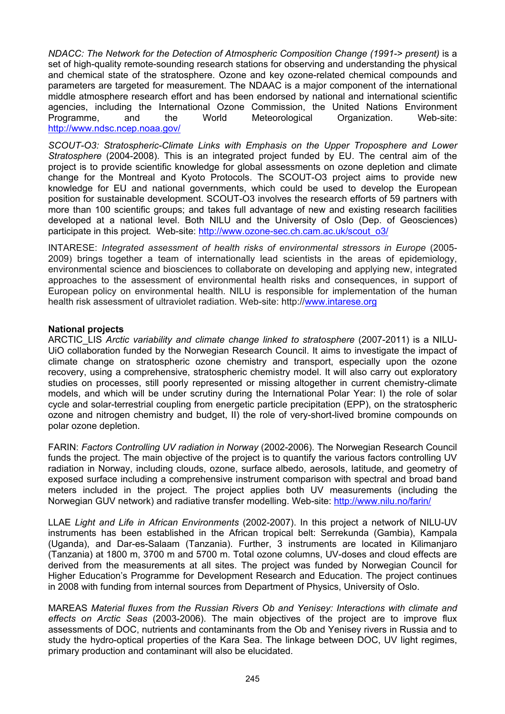*NDACC: The Network for the Detection of Atmospheric Composition Change (1991-> present)* is a set of high-quality remote-sounding research stations for observing and understanding the physical and chemical state of the stratosphere. Ozone and key ozone-related chemical compounds and parameters are targeted for measurement. The NDAAC is a major component of the international middle atmosphere research effort and has been endorsed by national and international scientific agencies, including the International Ozone Commission, the United Nations Environment<br>Programme. and the World Meteorological Organization. Web-site: Programme, and the World Meteorological Organization. <http://www.ndsc.ncep.noaa.gov/>

*SCOUT-O3: Stratospheric-Climate Links with Emphasis on the Upper Troposphere and Lower Stratosphere* (2004-2008). This is an integrated project funded by EU. The central aim of the project is to provide scientific knowledge for global assessments on ozone depletion and climate change for the Montreal and Kyoto Protocols. The SCOUT-O3 project aims to provide new knowledge for EU and national governments, which could be used to develop the European position for sustainable development. SCOUT-O3 involves the research efforts of 59 partners with more than 100 scientific groups; and takes full advantage of new and existing research facilities developed at a national level. Both NILU and the University of Oslo (Dep. of Geosciences) participate in this project*.* Web-site: [http://www.ozone-sec.ch.cam.ac.uk/scout\\_o3/](http://www.ozone-sec.ch.cam.ac.uk/scout_o3/)

INTARESE: Integrated assessment of health risks of environmental stressors in Europe (2005-2009) brings together a team of internationally lead scientists in the areas of epidemiology, environmental science and biosciences to collaborate on developing and applying new, integrated approaches to the assessment of environmental health risks and consequences, in support of European policy on environmental health. NILU is responsible for implementation of the human health risk assessment of ultraviolet radiation. Web-site: http:/[/www.intarese.org](http://www.intarese.org/)

## **National projects**

ARCTIC\_LIS *Arctic variability and climate change linked to stratosphere* (2007-2011) is a NILU-UiO collaboration funded by the Norwegian Research Council. It aims to investigate the impact of climate change on stratospheric ozone chemistry and transport, especially upon the ozone recovery, using a comprehensive, stratospheric chemistry model. It will also carry out exploratory studies on processes, still poorly represented or missing altogether in current chemistry-climate models, and which will be under scrutiny during the International Polar Year: I) the role of solar cycle and solar-terrestrial coupling from energetic particle precipitation (EPP), on the stratospheric ozone and nitrogen chemistry and budget, II) the role of very-short-lived bromine compounds on polar ozone depletion.

FARIN: *Factors Controlling UV radiation in Norway* (2002-2006). The Norwegian Research Council funds the project. The main objective of the project is to quantify the various factors controlling UV radiation in Norway, including clouds, ozone, surface albedo, aerosols, latitude, and geometry of exposed surface including a comprehensive instrument comparison with spectral and broad band meters included in the project. The project applies both UV measurements (including the Norwegian GUV network) and radiative transfer modelling. Web-site: <http://www.nilu.no/farin/>

LLAE *Light and Life in African Environments* (2002-2007). In this project a network of NILU-UV instruments has been established in the African tropical belt: Serrekunda (Gambia), Kampala (Uganda), and Dar-es-Salaam (Tanzania). Further, 3 instruments are located in Kilimanjaro (Tanzania) at 1800 m, 3700 m and 5700 m. Total ozone columns, UV-doses and cloud effects are derived from the measurements at all sites. The project was funded by Norwegian Council for Higher Education's Programme for Development Research and Education. The project continues in 2008 with funding from internal sources from Department of Physics, University of Oslo.

MAREAS *Material fluxes from the Russian Rivers Ob and Yenisey: Interactions with climate and effects on Arctic Seas* (2003-2006). The main objectives of the project are to improve flux assessments of DOC, nutrients and contaminants from the Ob and Yenisey rivers in Russia and to study the hydro-optical properties of the Kara Sea. The linkage between DOC, UV light regimes, primary production and contaminant will also be elucidated.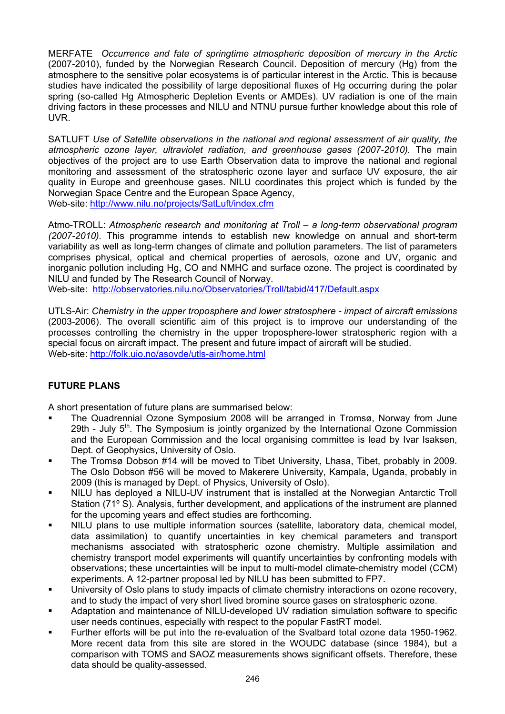MERFATE *Occurrence and fate of springtime atmospheric deposition of mercury in the Arctic* (2007-2010), funded by the Norwegian Research Council. Deposition of mercury (Hg) from the atmosphere to the sensitive polar ecosystems is of particular interest in the Arctic. This is because studies have indicated the possibility of large depositional fluxes of Hg occurring during the polar spring (so-called Hg Atmospheric Depletion Events or AMDEs). UV radiation is one of the main driving factors in these processes and NILU and NTNU pursue further knowledge about this role of UVR.

SATLUFT *Use of Satellite observations in the national and regional assessment of air quality, the atmospheric ozone layer, ultraviolet radiation, and greenhouse gases (2007-2010).* The main objectives of the project are to use Earth Observation data to improve the national and regional monitoring and assessment of the stratospheric ozone layer and surface UV exposure, the air quality in Europe and greenhouse gases. NILU coordinates this project which is funded by the Norwegian Space Centre and the European Space Agency, Web-site:<http://www.nilu.no/projects/SatLuft/index.cfm>

Atmo-TROLL: *Atmospheric research and monitoring at Troll – a long-term observational program (2007-2010).* This programme intends to establish new knowledge on annual and short-term variability as well as long-term changes of climate and pollution parameters. The list of parameters comprises physical, optical and chemical properties of aerosols, ozone and UV, organic and inorganic pollution including Hg, CO and NMHC and surface ozone. The project is coordinated by NILU and funded by The Research Council of Norway.

Web-site: <http://observatories.nilu.no/Observatories/Troll/tabid/417/Default.aspx>

UTLS-Air: *Chemistry in the upper troposphere and lower stratosphere - impact of aircraft emissions*  (2003-2006). The overall scientific aim of this project is to improve our understanding of the processes controlling the chemistry in the upper troposphere-lower stratospheric region with a special focus on aircraft impact. The present and future impact of aircraft will be studied. Web-site:<http://folk.uio.no/asovde/utls-air/home.html>

# **FUTURE PLANS**

A short presentation of future plans are summarised below:

- The Quadrennial Ozone Symposium 2008 will be arranged in Tromsø, Norway from June 29th - July  $5<sup>th</sup>$ . The Symposium is jointly organized by the International Ozone Commission and the European Commission and the local organising committee is lead by Ivar Isaksen, Dept. of Geophysics, University of Oslo.
- The Tromsø Dobson #14 will be moved to Tibet University, Lhasa, Tibet, probably in 2009. The Oslo Dobson #56 will be moved to Makerere University, Kampala, Uganda, probably in 2009 (this is managed by Dept. of Physics, University of Oslo).
- NILU has deployed a NILU-UV instrument that is installed at the Norwegian Antarctic Troll Station (71º S). Analysis, further development, and applications of the instrument are planned for the upcoming years and effect studies are forthcoming.
- NILU plans to use multiple information sources (satellite, laboratory data, chemical model, data assimilation) to quantify uncertainties in key chemical parameters and transport mechanisms associated with stratospheric ozone chemistry. Multiple assimilation and chemistry transport model experiments will quantify uncertainties by confronting models with observations; these uncertainties will be input to multi-model climate-chemistry model (CCM) experiments. A 12-partner proposal led by NILU has been submitted to FP7.
- University of Oslo plans to study impacts of climate chemistry interactions on ozone recovery, and to study the impact of very short lived bromine source gases on stratospheric ozone.
- Adaptation and maintenance of NILU-developed UV radiation simulation software to specific user needs continues, especially with respect to the popular FastRT model.
- Further efforts will be put into the re-evaluation of the Svalbard total ozone data 1950-1962. More recent data from this site are stored in the WOUDC database (since 1984), but a comparison with TOMS and SAOZ measurements shows significant offsets. Therefore, these data should be quality-assessed.